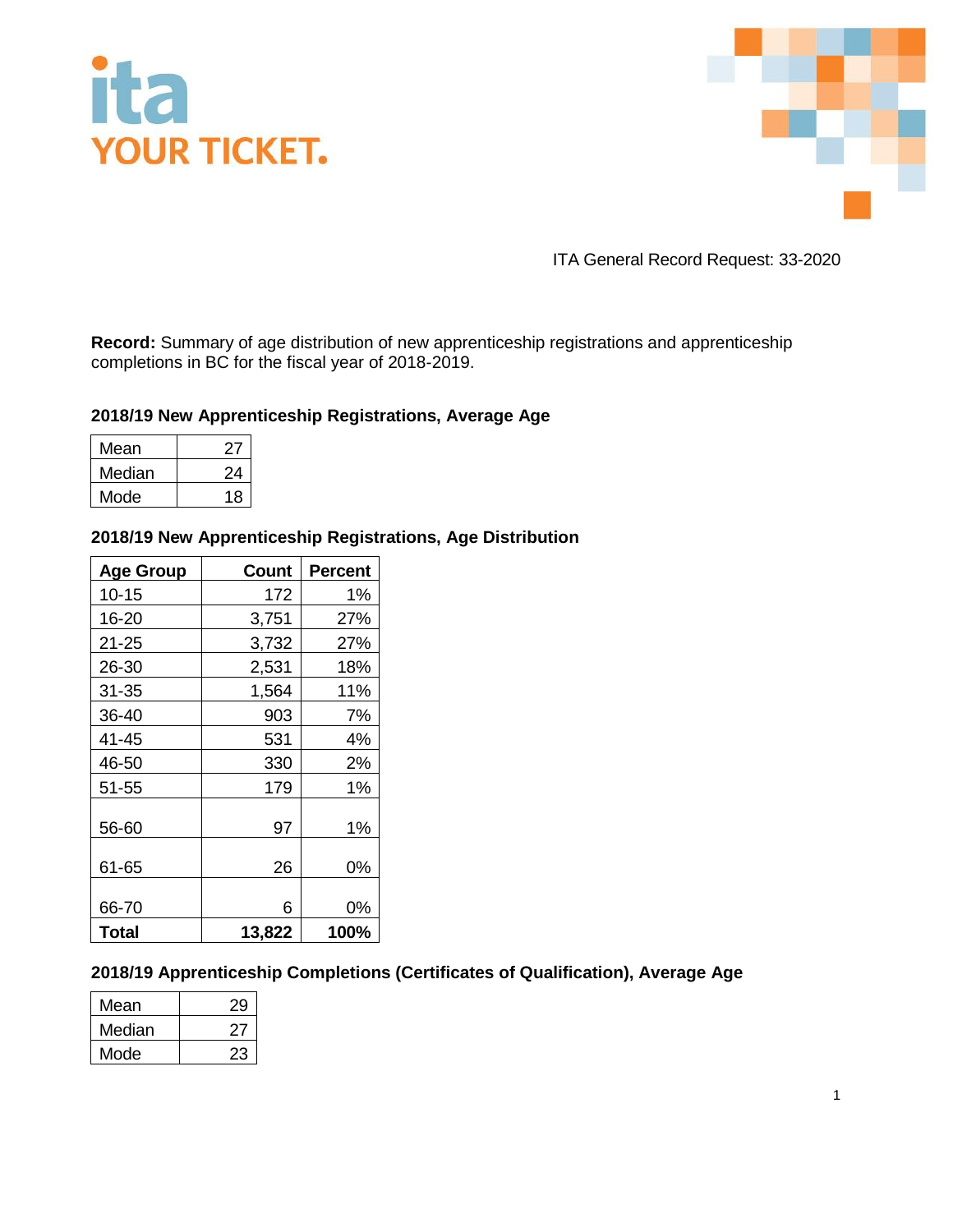



ITA General Record Request: 33-2020

**Record:** Summary of age distribution of new apprenticeship registrations and apprenticeship completions in BC for the fiscal year of 2018-2019.

## **2018/19 New Apprenticeship Registrations, Average Age**

| Mean   |    |
|--------|----|
| Median | 24 |
| Mode   | 18 |

## **2018/19 New Apprenticeship Registrations, Age Distribution**

| <b>Age Group</b> | <b>Count</b> | <b>Percent</b> |
|------------------|--------------|----------------|
| $10 - 15$        | 172          | 1%             |
| 16-20            | 3,751        | 27%            |
| 21-25            | 3,732        | 27%            |
| 26-30            | 2,531        | 18%            |
| 31-35            | 1,564        | 11%            |
| 36-40            | 903          | 7%             |
| 41-45            | 531          | 4%             |
| 46-50            | 330          | 2%             |
| 51-55            | 179          | 1%             |
| 56-60            | 97           | 1%             |
| 61-65            | 26           | 0%             |
| 66-70            | 6            | 0%             |
| <b>Total</b>     | 13,822       | 100%           |

## **2018/19 Apprenticeship Completions (Certificates of Qualification), Average Age**

| Mean   | 29 |
|--------|----|
| Median | ر. |
| Mode   | 23 |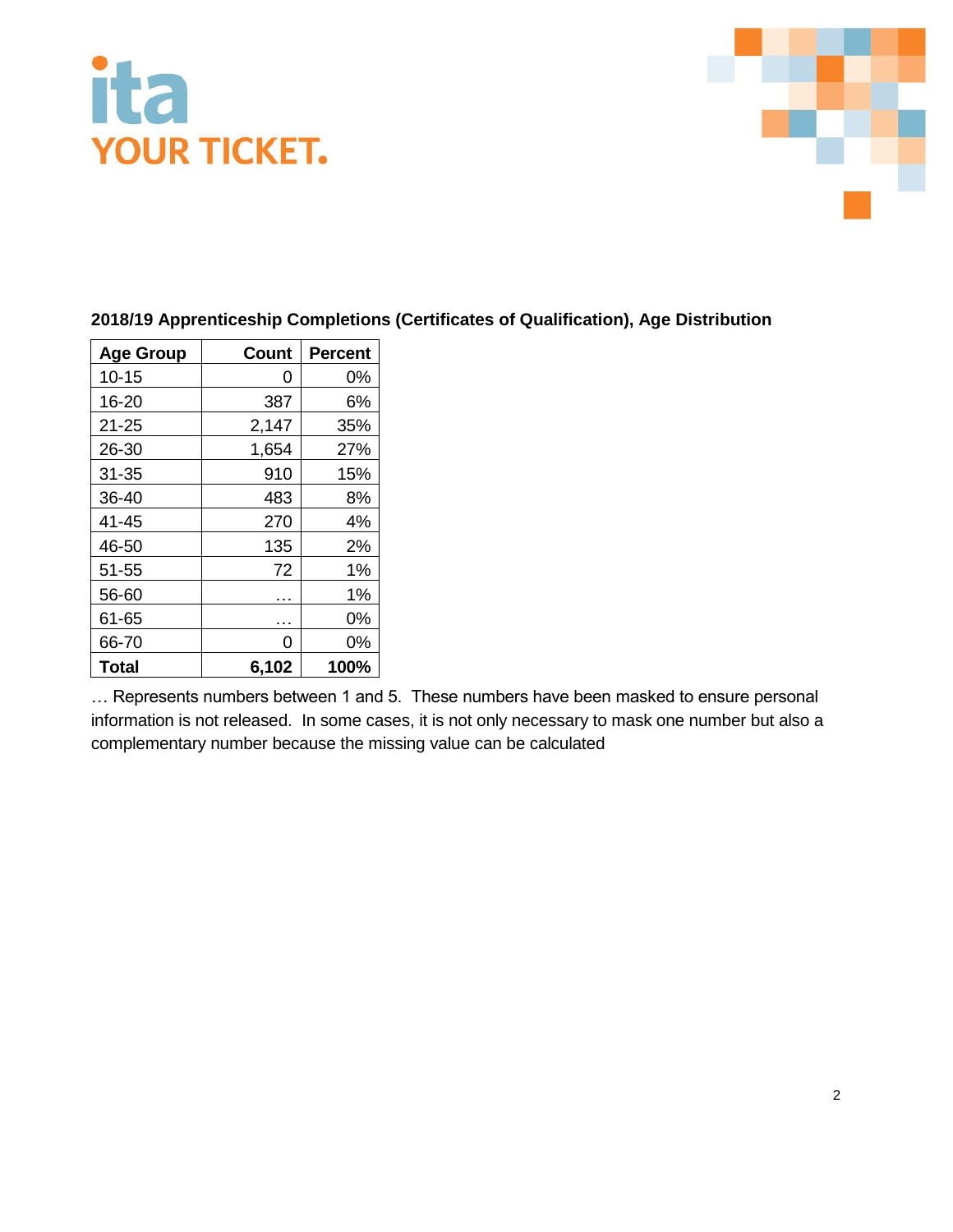



# **2018/19 Apprenticeship Completions (Certificates of Qualification), Age Distribution**

| <b>Age Group</b> | Count | <b>Percent</b> |
|------------------|-------|----------------|
| $10 - 15$        | 0     | 0%             |
| 16-20            | 387   | 6%             |
| $21 - 25$        | 2,147 | 35%            |
| 26-30            | 1,654 | 27%            |
| $31 - 35$        | 910   | 15%            |
| 36-40            | 483   | 8%             |
| 41-45            | 270   | 4%             |
| 46-50            | 135   | 2%             |
| 51-55            | 72    | 1%             |
| 56-60            |       | 1%             |
| 61-65            | .     | 0%             |
| 66-70            | 0     | 0%             |
| <b>Total</b>     | 6,102 | 100%           |

… Represents numbers between 1 and 5. These numbers have been masked to ensure personal information is not released. In some cases, it is not only necessary to mask one number but also a complementary number because the missing value can be calculated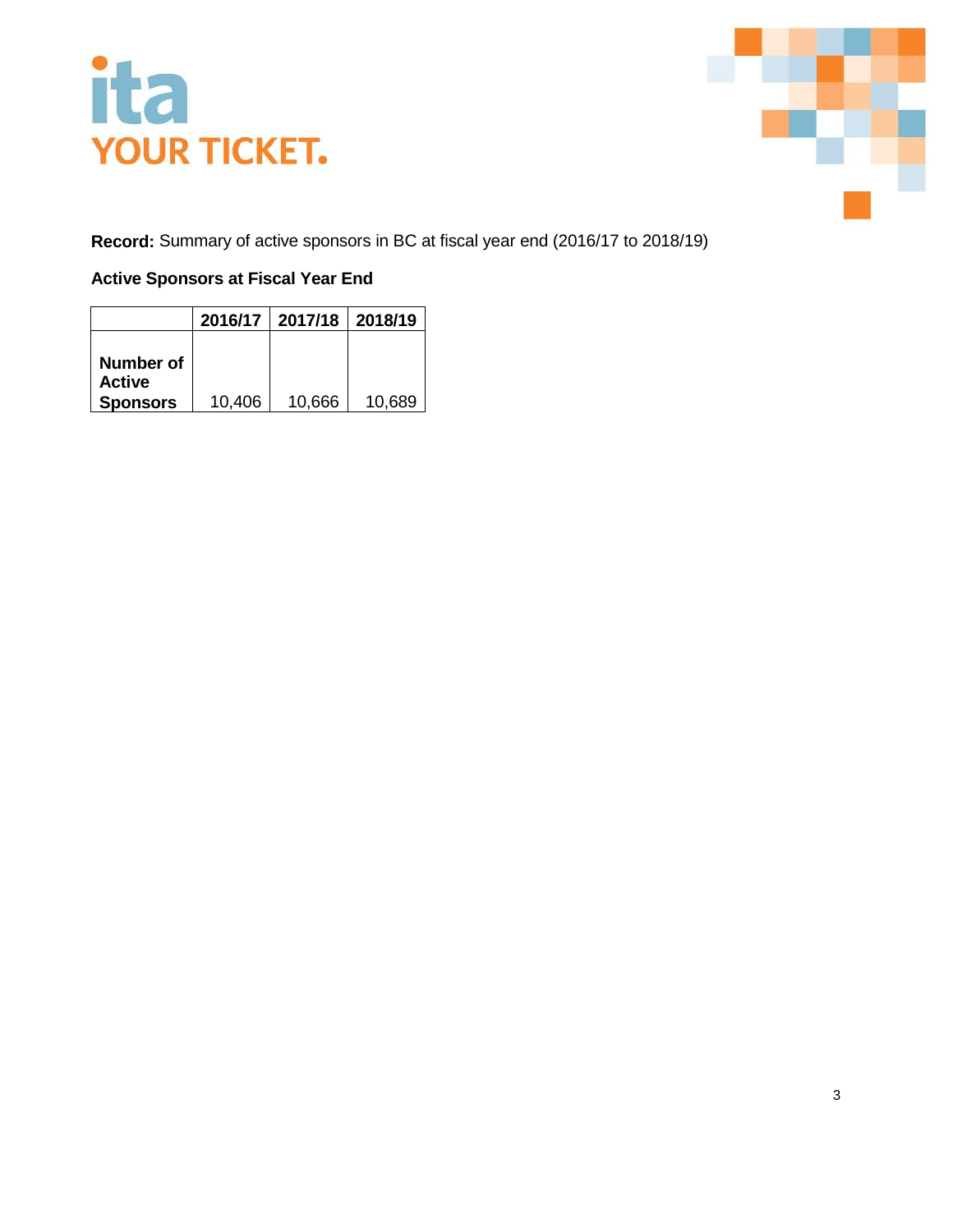

**Record:** Summary of active sponsors in BC at fiscal year end (2016/17 to 2018/19)

## **Active Sponsors at Fiscal Year End**

|                                               | 2016/17 | 2017/18 | 2018/19 |
|-----------------------------------------------|---------|---------|---------|
| Number of<br><b>Active</b><br><b>Sponsors</b> | 10,406  | 10,666  | 10,689  |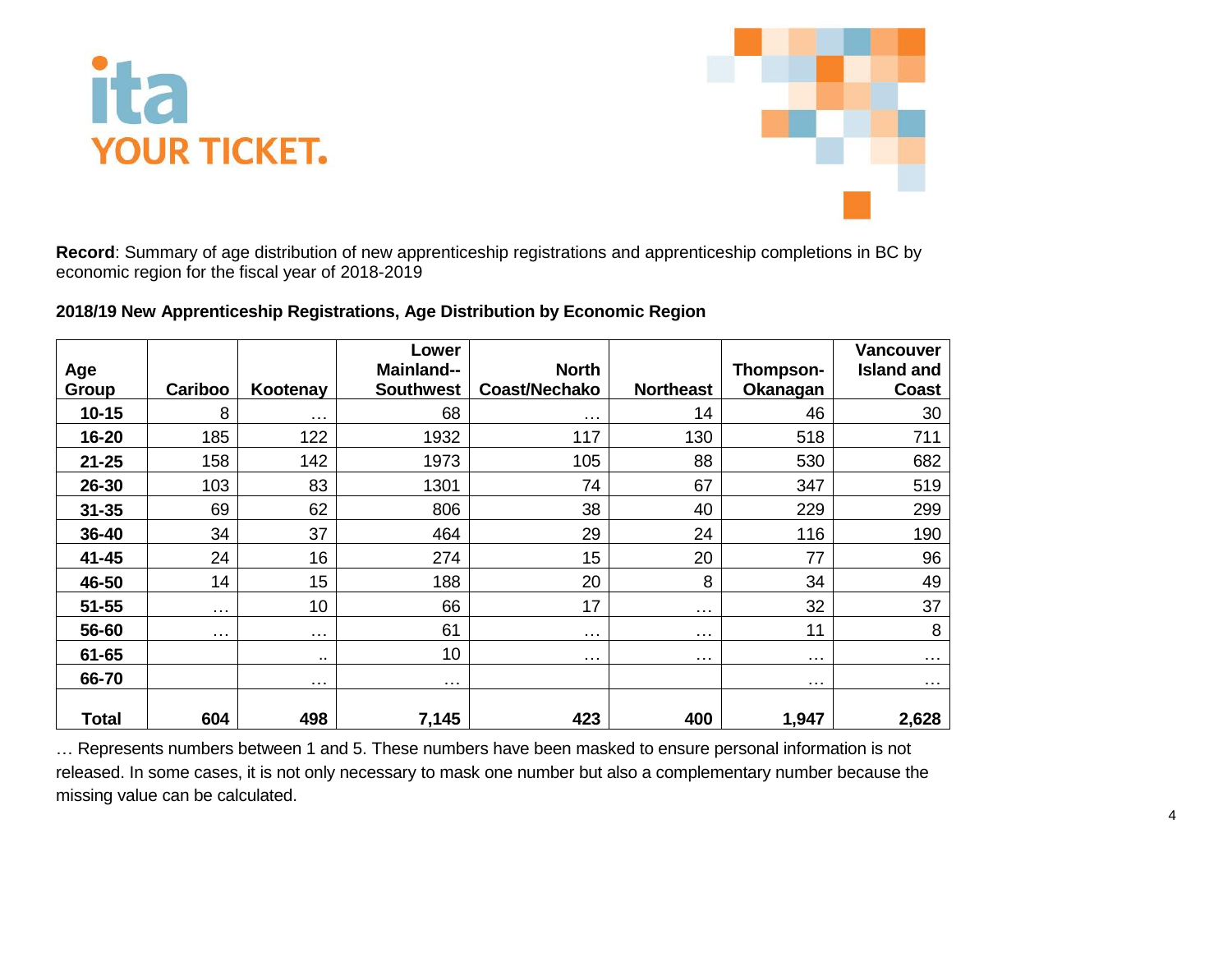



**Record**: Summary of age distribution of new apprenticeship registrations and apprenticeship completions in BC by economic region for the fiscal year of 2018-2019

| 2018/19 New Apprenticeship Registrations, Age Distribution by Economic Region |  |  |  |
|-------------------------------------------------------------------------------|--|--|--|
|-------------------------------------------------------------------------------|--|--|--|

| Age<br>Group | Cariboo  | Kootenay        | Lower<br>Mainland--<br><b>Southwest</b> | <b>North</b><br>Coast/Nechako | <b>Northeast</b>     | Thompson-<br>Okanagan | <b>Vancouver</b><br><b>Island and</b><br><b>Coast</b> |
|--------------|----------|-----------------|-----------------------------------------|-------------------------------|----------------------|-----------------------|-------------------------------------------------------|
| $10 - 15$    | 8        | $\cdots$        | 68                                      | $\cdots$                      | 14                   | 46                    | 30                                                    |
| 16-20        | 185      | 122             | 1932                                    | 117                           | 130                  | 518                   | 711                                                   |
| $21 - 25$    | 158      | 142             | 1973                                    | 105                           | 88                   | 530                   | 682                                                   |
| 26-30        | 103      | 83              | 1301                                    | 74                            | 67                   | 347                   | 519                                                   |
| $31 - 35$    | 69       | 62              | 806                                     | 38                            | 40                   | 229                   | 299                                                   |
| 36-40        | 34       | 37              | 464                                     | 29                            | 24                   | 116                   | 190                                                   |
| 41-45        | 24       | 16              | 274                                     | 15                            | 20                   | 77                    | 96                                                    |
| 46-50        | 14       | 15              | 188                                     | 20                            | 8                    | 34                    | 49                                                    |
| $51 - 55$    | $\cdots$ | 10 <sub>1</sub> | 66                                      | 17                            | $\cdots$             | 32                    | 37                                                    |
| 56-60        | $\cdots$ | $\cdots$        | 61                                      | $\cdots$                      | $\sim$ $\sim$ $\sim$ | 11                    | 8                                                     |
| 61-65        |          | $\sim$          | 10                                      | $\cdots$                      | $\cdots$             | $\cdots$              | $\sim 100$                                            |
| 66-70        |          | $\cdots$        | $\cdots$                                |                               |                      | $\cdots$              | $\sim 100$                                            |
| <b>Total</b> | 604      | 498             | 7,145                                   | 423                           | 400                  | 1,947                 | 2,628                                                 |

… Represents numbers between 1 and 5. These numbers have been masked to ensure personal information is not released. In some cases, it is not only necessary to mask one number but also a complementary number because the missing value can be calculated.